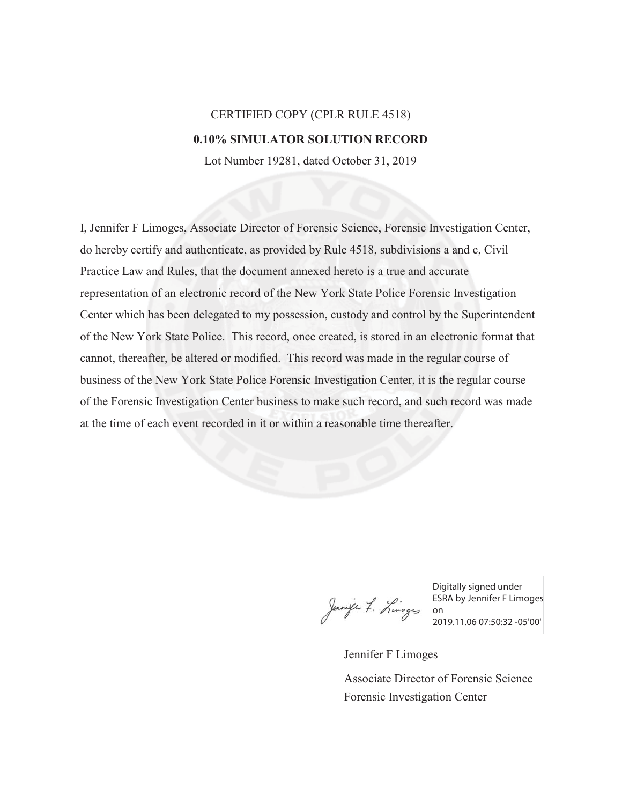## CERTIFIED COPY (CPLR RULE 4518) **0.10% SIMULATOR SOLUTION RECORD**

Lot Number 19281, dated October 31, 2019

I, Jennifer F Limoges, Associate Director of Forensic Science, Forensic Investigation Center, do hereby certify and authenticate, as provided by Rule 4518, subdivisions a and c, Civil Practice Law and Rules, that the document annexed hereto is a true and accurate representation of an electronic record of the New York State Police Forensic Investigation Center which has been delegated to my possession, custody and control by the Superintendent of the New York State Police. This record, once created, is stored in an electronic format that cannot, thereafter, be altered or modified. This record was made in the regular course of business of the New York State Police Forensic Investigation Center, it is the regular course of the Forensic Investigation Center business to make such record, and such record was made at the time of each event recorded in it or within a reasonable time thereafter.

Jennife 7. Linges On

Digitally signed under ESRA by Jennifer F Limoges 2019.11.06 07:50:32 -05'00'

Jennifer F Limoges

Forensic Investigation Center Associate Director of Forensic Science